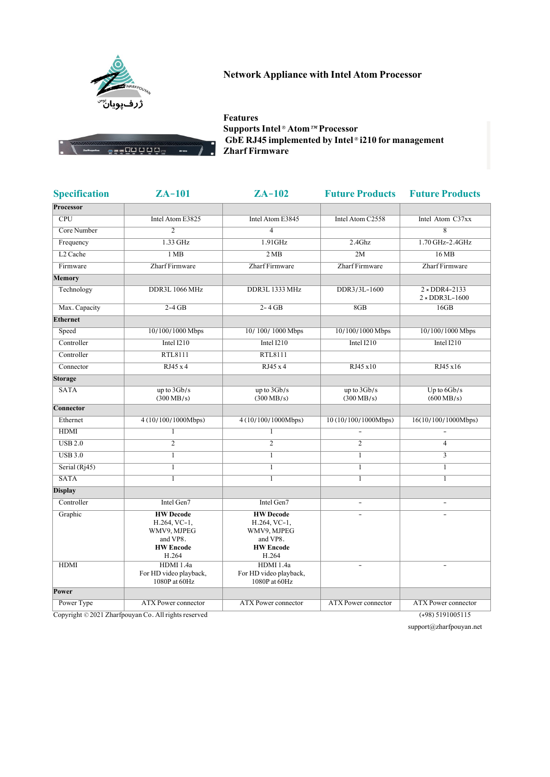

## **Network Appliance with Intel Atom Processor**

ess00 0 0 0 =

**Features Supports Intel® Atom™ Processor GbE RJ45 implemented by Intel® i210 for management Zharf Firmware**

| <b>Specification</b> | $ZA-101$                                                                                   | $ZA-102$                                                                                   | <b>Future Products</b>      | <b>Future Products</b>                     |
|----------------------|--------------------------------------------------------------------------------------------|--------------------------------------------------------------------------------------------|-----------------------------|--------------------------------------------|
| Processor            |                                                                                            |                                                                                            |                             |                                            |
| CPU                  | Intel Atom E3825                                                                           | Intel Atom E3845                                                                           | Intel Atom C2558            | Intel Atom C37xx                           |
| Core Number          | $\mathfrak{D}$                                                                             | $\overline{4}$                                                                             |                             | $\overline{\mathbf{g}}$                    |
| Frequency            | 1.33 GHz                                                                                   | $1.91$ GHz                                                                                 | $2.4$ Ghz                   | 1.70 GHz-2.4GHz                            |
| L <sub>2</sub> Cache | 1 <sub>MB</sub>                                                                            | 2MB                                                                                        | 2M                          | 16 MB                                      |
| Firmware             | Zharf Firmware                                                                             | Zharf Firmware                                                                             | Zharf Firmware              | Zharf Firmware                             |
| <b>Memory</b>        |                                                                                            |                                                                                            |                             |                                            |
| Technology           | DDR3L 1066 MHz                                                                             | DDR3L 1333 MHz                                                                             | DDR3/3L-1600                | $2 \times DDR4 - 2133$<br>$2 * DDR3L-1600$ |
| Max. Capacity        | $2-4$ GB                                                                                   | $2 - 4 GB$                                                                                 | 8GB                         | 16GB                                       |
| <b>Ethernet</b>      |                                                                                            |                                                                                            |                             |                                            |
| Speed                | 10/100/1000 Mbps                                                                           | 10/100/1000 Mbps                                                                           | 10/100/1000 Mbps            | 10/100/1000 Mbps                           |
| Controller           | Intel I210                                                                                 | Intel I210                                                                                 | Intel I210                  | Intel $I210$                               |
| Controller           | RTL8111                                                                                    | RTL8111                                                                                    |                             |                                            |
| Connector            | RJ45 x 4                                                                                   | RJ45 x 4                                                                                   | RJ45 x10                    | RJ45 x16                                   |
| <b>Storage</b>       |                                                                                            |                                                                                            |                             |                                            |
| <b>SATA</b>          | up to $3Gb/s$<br>$(300 \text{ MB/s})$                                                      | up to $3Gb/s$<br>$(300 \,\text{MB/s})$                                                     | up to $3Gb/s$<br>(300 MB/s) | Up to $66b/s$<br>$(600 \text{ MB/s})$      |
| Connector            |                                                                                            |                                                                                            |                             |                                            |
| Ethernet             | 4 (10/100/1000Mbps)                                                                        | 4 (10/100/1000Mbps)                                                                        | 10 (10/100/1000Mbps)        | 16(10/100/1000Mbps)                        |
| <b>HDMI</b>          | $\mathbf{1}$                                                                               | $\mathbf{1}$                                                                               | L,                          | $\overline{a}$                             |
| <b>USB 2.0</b>       | $\overline{2}$                                                                             | $\overline{2}$                                                                             | $\overline{c}$              | $\overline{4}$                             |
| <b>USB 3.0</b>       | $\mathbf{1}$                                                                               | $\mathbf{1}$                                                                               | $\mathbf{1}$                | $\overline{3}$                             |
| Serial (Rj45)        | $\overline{1}$                                                                             | $\overline{1}$                                                                             | $\mathbf{1}$                | $\mathbf{1}$                               |
| <b>SATA</b>          | $\overline{1}$                                                                             | $\overline{1}$                                                                             | $\mathbf{1}$                | $\mathbf{1}$                               |
| <b>Display</b>       |                                                                                            |                                                                                            |                             |                                            |
| Controller           | Intel Gen7                                                                                 | Intel Gen7                                                                                 |                             |                                            |
| Graphic              | <b>HW</b> Decode<br>$H.264, VC-1,$<br>WMV9, MJPEG<br>and VP8.<br><b>HW</b> Encode<br>H.264 | <b>HW</b> Decode<br>$H.264, VC-1,$<br>WMV9, MJPEG<br>and VP8.<br><b>HW</b> Encode<br>H.264 |                             |                                            |
| <b>HDMI</b>          | HDMI 1.4a<br>For HD video playback,<br>1080P at 60Hz                                       | HDMI 1.4a<br>For HD video playback,<br>1080P at 60Hz                                       |                             |                                            |
| Power                |                                                                                            |                                                                                            |                             |                                            |
| Power Type           | <b>ATX Power connector</b>                                                                 | <b>ATX</b> Power connector                                                                 | <b>ATX</b> Power connector  | <b>ATX</b> Power connector                 |

Copyright © 2021 Zharfpouyan Co. All rights reserved (+98) 5191005115

support@zharfpouyan.net